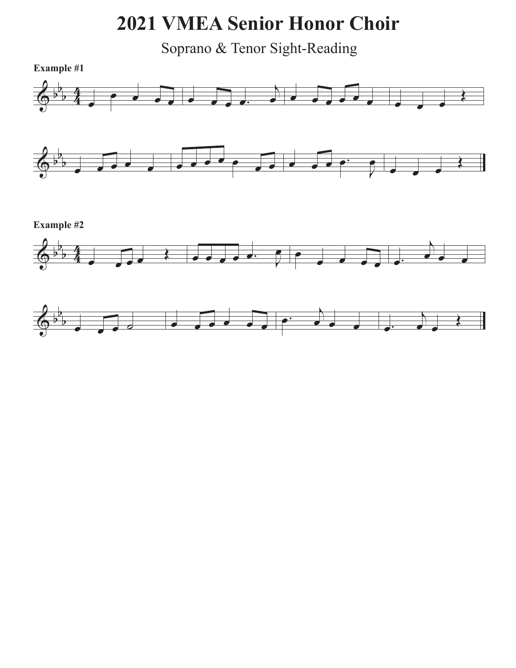## **2021 VMEA Senior Honor Choir**

Soprano & Tenor Sight-Reading

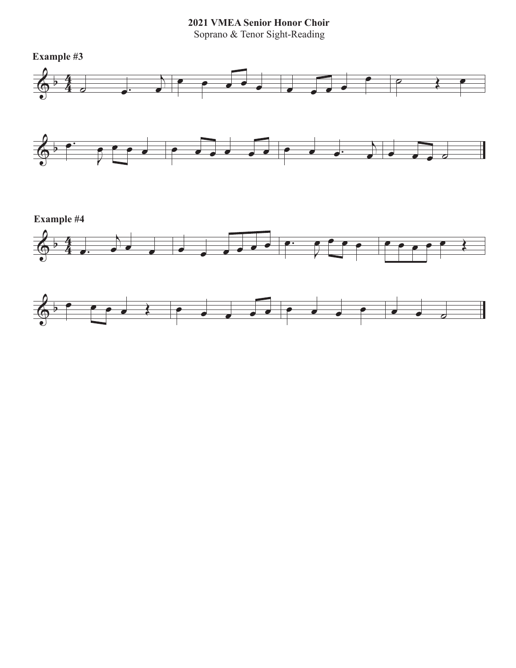**2021 VMEA Senior Honor Choir**

Soprano & Tenor Sight-Reading